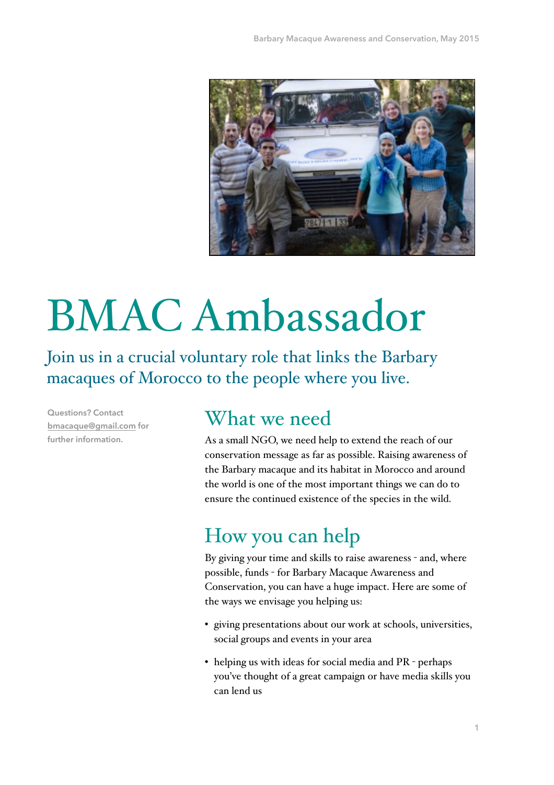

# BMAC Ambassador

Join us in a crucial voluntary role that links the Barbary macaques of Morocco to the people where you live.

**Questions? Contact [bmacaque@gmail.com](mailto:bmacaque@gmail.com) for further information.**

#### What we need

As a small NGO, we need help to extend the reach of our conservation message as far as possible. Raising awareness of the Barbary macaque and its habitat in Morocco and around the world is one of the most important things we can do to ensure the continued existence of the species in the wild.

## How you can help

By giving your time and skills to raise awareness - and, where possible, funds - for Barbary Macaque Awareness and Conservation, you can have a huge impact. Here are some of the ways we envisage you helping us:

- giving presentations about our work at schools, universities, social groups and events in your area
- helping us with ideas for social media and PR perhaps you've thought of a great campaign or have media skills you can lend us